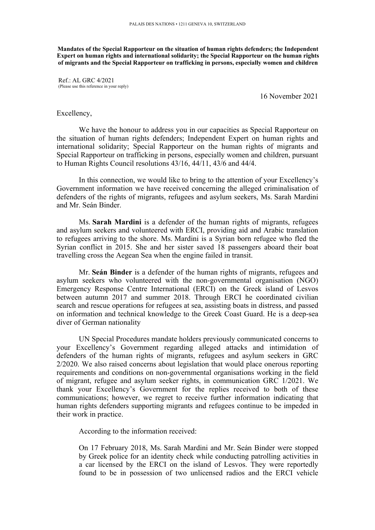**Mandates of the Special Rapporteur on the situation of human rights defenders; the Independent Expert on human rights and international solidarity; the Special Rapporteur on the human rights of migrants and the Special Rapporteur on trafficking in persons, especially women and children**

Ref.: AL GRC 4/2021 (Please use this reference in your reply)

16 November 2021

## Excellency,

We have the honour to address you in our capacities as Special Rapporteur on the situation of human rights defenders; Independent Expert on human rights and international solidarity; Special Rapporteur on the human rights of migrants and Special Rapporteur on trafficking in persons, especially women and children, pursuan<sup>t</sup> to Human Rights Council resolutions 43/16, 44/11, 43/6 and 44/4.

In this connection, we would like to bring to the attention of your Excellency'<sup>s</sup> Government information we have received concerning the alleged criminalisation of defenders of the rights of migrants, refugees and asylum seekers, Ms. Sarah Mardini and Mr. Seán Binder.

Ms. **Sarah Mardini** is <sup>a</sup> defender of the human rights of migrants, refugees and asylum seekers and volunteered with ERCI, providing aid and Arabic translation to refugees arriving to the shore. Ms. Mardini is <sup>a</sup> Syrian born refugee who fled the Syrian conflict in 2015. She and her sister saved 18 passengers aboard their boat travelling cross the Aegean Sea when the engine failed in transit.

Mr. **Seán Binder** is <sup>a</sup> defender of the human rights of migrants, refugees and asylum seekers who volunteered with the non-governmental organisation (NGO) Emergency Response Centre International (ERCI) on the Greek island of Lesvos between autumn 2017 and summer 2018. Through ERCI he coordinated civilian search and rescue operations for refugees at sea, assisting boats in distress, and passed on information and technical knowledge to the Greek Coast Guard. He is <sup>a</sup> deep-sea diver of German nationality

UN Special Procedures mandate holders previously communicated concerns to your Excellency'<sup>s</sup> Government regarding alleged attacks and intimidation of defenders of the human rights of migrants, refugees and asylum seekers in GRC 2/2020. We also raised concerns about legislation that would place onerous reporting requirements and conditions on non-governmental organisations working in the field of migrant, refugee and asylum seeker rights, in communication GRC 1/2021. We thank your Excellency'<sup>s</sup> Government for the replies received to both of these communications; however, we regre<sup>t</sup> to receive further information indicating that human rights defenders supporting migrants and refugees continue to be impeded in their work in practice.

According to the information received:

On 17 February 2018, Ms. Sarah Mardini and Mr. Seán Binder were stopped by Greek police for an identity check while conducting patrolling activities in <sup>a</sup> car licensed by the ERCI on the island of Lesvos. They were reportedly found to be in possession of two unlicensed radios and the ERCI vehicle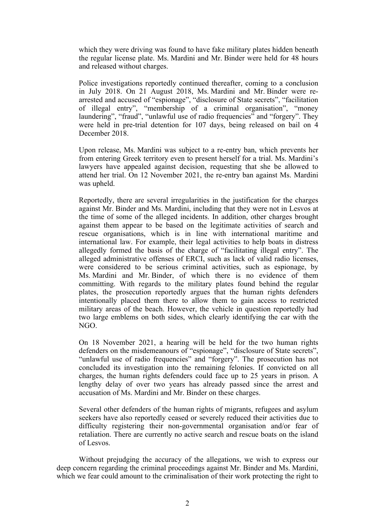which they were driving was found to have fake military plates hidden beneath the regular license plate. Ms. Mardini and Mr. Binder were held for 48 hours and released without charges.

Police investigations reportedly continued thereafter, coming to <sup>a</sup> conclusion in July 2018. On 21 August 2018, Ms. Mardini and Mr. Binder were rearrested and accused of "espionage", "disclosure of State secrets", "facilitation of illegal entry", "membership of <sup>a</sup> criminal organisation", "money laundering", "fraud", "unlawful use of radio frequencies" and "forgery". They were held in pre-trial detention for 107 days, being released on bail on 4 December 2018.

Upon release, Ms. Mardini was subject to <sup>a</sup> re-entry ban, which prevents her from entering Greek territory even to presen<sup>t</sup> herself for <sup>a</sup> trial. Ms. Mardini'<sup>s</sup> lawyers have appealed against decision, requesting that she be allowed to attend her trial. On 12 November 2021, the re-entry ban against Ms. Mardini was upheld.

Reportedly, there are several irregularities in the justification for the charges against Mr. Binder and Ms. Mardini, including that they were not in Lesvos at the time of some of the alleged incidents. In addition, other charges brought against them appear to be based on the legitimate activities of search and rescue organisations, which is in line with international maritime and international law. For example, their legal activities to help boats in distress allegedly formed the basis of the charge of "facilitating illegal entry". The alleged administrative offenses of ERCI, such as lack of valid radio licenses, were considered to be serious criminal activities, such as espionage, by Ms. Mardini and Mr. Binder, of which there is no evidence of them committing. With regards to the military plates found behind the regular plates, the prosecution reportedly argues that the human rights defenders intentionally placed them there to allow them to gain access to restricted military areas of the beach. However, the vehicle in question reportedly had two large emblems on both sides, which clearly identifying the car with the NGO.

On 18 November 2021, <sup>a</sup> hearing will be held for the two human rights defenders on the misdemeanours of "espionage", "disclosure of State secrets", "unlawful use of radio frequencies" and "forgery". The prosecution has not concluded its investigation into the remaining felonies. If convicted on all charges, the human rights defenders could face up to 25 years in prison. A lengthy delay of over two years has already passed since the arrest and accusation of Ms. Mardini and Mr. Binder on these charges.

Several other defenders of the human rights of migrants, refugees and asylum seekers have also reportedly ceased or severely reduced their activities due to difficulty registering their non-governmental organisation and/or fear of retaliation. There are currently no active search and rescue boats on the island of Lesvos.

Without prejudging the accuracy of the allegations, we wish to express our deep concern regarding the criminal proceedings against Mr. Binder and Ms. Mardini, which we fear could amount to the criminalisation of their work protecting the right to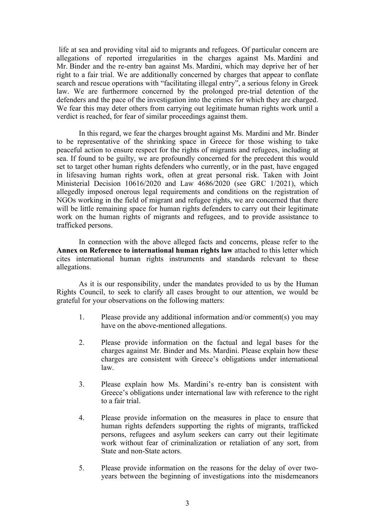life at sea and providing vital aid to migrants and refugees. Of particular concern are allegations of reported irregularities in the charges against Ms. Mardini and Mr. Binder and the re-entry ban against Ms. Mardini, which may deprive her of her right to <sup>a</sup> fair trial. We are additionally concerned by charges that appear to conflate search and rescue operations with "facilitating illegal entry", <sup>a</sup> serious felony in Greek law. We are furthermore concerned by the prolonged pre-trial detention of the defenders and the pace of the investigation into the crimes for which they are charged. We fear this may deter others from carrying out legitimate human rights work until <sup>a</sup> verdict is reached, for fear of similar proceedings against them.

In this regard, we fear the charges brought against Ms. Mardini and Mr. Binder to be representative of the shrinking space in Greece for those wishing to take peaceful action to ensure respec<sup>t</sup> for the rights of migrants and refugees, including at sea. If found to be guilty, we are profoundly concerned for the precedent this would set to target other human rights defenders who currently, or in the past, have engaged in lifesaving human rights work, often at grea<sup>t</sup> personal risk. Taken with Joint Ministerial Decision 10616/2020 and Law 4686/2020 (see GRC 1/2021), which allegedly imposed onerous legal requirements and conditions on the registration of NGOs working in the field of migrant and refugee rights, we are concerned that there will be little remaining space for human rights defenders to carry out their legitimate work on the human rights of migrants and refugees, and to provide assistance to trafficked persons.

In connection with the above alleged facts and concerns, please refer to the **Annex on Reference to international human rights law** attached to this letter which cites international human rights instruments and standards relevant to these allegations.

As it is our responsibility, under the mandates provided to us by the Human Rights Council, to seek to clarify all cases brought to our attention, we would be grateful for your observations on the following matters:

- 1. Please provide any additional information and/or comment(s) you may have on the above-mentioned allegations.
- 2. Please provide information on the factual and legal bases for the charges against Mr. Binder and Ms. Mardini. Please explain how these charges are consistent with Greece'<sup>s</sup> obligations under international law.
- 3. Please explain how Ms. Mardini'<sup>s</sup> re-entry ban is consistent with Greece'<sup>s</sup> obligations under international law with reference to the right to <sup>a</sup> fair trial.
- 4. Please provide information on the measures in place to ensure that human rights defenders supporting the rights of migrants, trafficked persons, refugees and asylum seekers can carry out their legitimate work without fear of criminalization or retaliation of any sort, from State and non-State actors.
- 5. Please provide information on the reasons for the delay of over twoyears between the beginning of investigations into the misdemeanors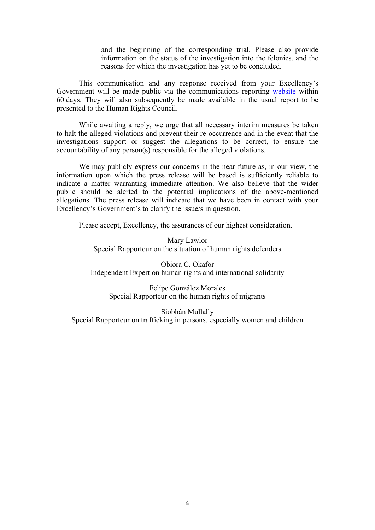and the beginning of the corresponding trial. Please also provide information on the status of the investigation into the felonies, and the reasons for which the investigation has ye<sup>t</sup> to be concluded.

This communication and any response received from your Excellency'<sup>s</sup> Government will be made public via the communications reporting [website](https://spcommreports.ohchr.org/) within 60 days. They will also subsequently be made available in the usual repor<sup>t</sup> to be presented to the Human Rights Council.

While awaiting <sup>a</sup> reply, we urge that all necessary interim measures be taken to halt the alleged violations and preven<sup>t</sup> their re-occurrence and in the event that the investigations suppor<sup>t</sup> or sugges<sup>t</sup> the allegations to be correct, to ensure the accountability of any person(s) responsible for the alleged violations.

We may publicly express our concerns in the near future as, in our view, the information upon which the press release will be based is sufficiently reliable to indicate <sup>a</sup> matter warranting immediate attention. We also believe that the wider public should be alerted to the potential implications of the above-mentioned allegations. The press release will indicate that we have been in contact with your Excellency'<sup>s</sup> Government'<sup>s</sup> to clarify the issue/s in question.

Please accept, Excellency, the assurances of our highest consideration.

Mary Lawlor Special Rapporteur on the situation of human rights defenders

Obiora C. Okafor Independent Expert on human rights and international solidarity

Felipe González Morales Special Rapporteur on the human rights of migrants

Siobhán Mullally Special Rapporteur on trafficking in persons, especially women and children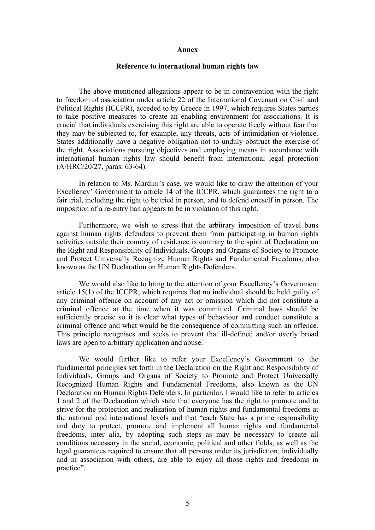## **Annex**

## **Reference to international human rights law**

The above mentioned allegations appear to be in contravention with the right to freedom of association under article 22 of the International Covenant on Civil and Political Rights (ICCPR), acceded to by Greece in 1997, which requires States parties to take positive measures to create an enabling environment for associations. It is crucial that individuals exercising this right are able to operate freely without fear that they may be subjected to, for example, any threats, acts of intimidation or violence. States additionally have <sup>a</sup> negative obligation not to unduly obstruct the exercise of the right. Associations pursuing objectives and employing means in accordance with international human rights law should benefit from international legal protection (A/HRC/20/27, paras. 63-64).

In relation to Ms. Mardini'<sup>s</sup> case, we would like to draw the attention of your Excellency' Government to article 14 of the ICCPR, which guarantees the right to <sup>a</sup> fair trial, including the right to be tried in person, and to defend oneself in person. The imposition of <sup>a</sup> re-entry ban appears to be in violation of this right.

Furthermore, we wish to stress that the arbitrary imposition of travel bans against human rights defenders to preven<sup>t</sup> them from participating in human rights activities outside their country of residence is contrary to the spirit of Declaration on the Right and Responsibility of Individuals, Groups and Organs of Society to Promote and Protect Universally Recognize Human Rights and Fundamental Freedoms, also known as the UN Declaration on Human Rights Defenders.

We would also like to bring to the attention of your Excellency'<sup>s</sup> Government article 15(1) of the ICCPR, which requires that no individual should be held guilty of any criminal offence on account of any act or omission which did not constitute <sup>a</sup> criminal offence at the time when it was committed. Criminal laws should be sufficiently precise so it is clear what types of behaviour and conduct constitute <sup>a</sup> criminal offence and what would be the consequence of committing such an offence. This principle recognises and seeks to preven<sup>t</sup> that ill-defined and/or overly broad laws are open to arbitrary application and abuse.

We would further like to refer your Excellency'<sup>s</sup> Government to the fundamental principles set forth in the Declaration on the Right and Responsibility of Individuals, Groups and Organs of Society to Promote and Protect Universally Recognized Human Rights and Fundamental Freedoms, also known as the UN Declaration on Human Rights Defenders. In particular, I would like to refer to articles 1 and 2 of the Declaration which state that everyone has the right to promote and to strive for the protection and realization of human rights and fundamental freedoms at the national and international levels and that "each State has <sup>a</sup> prime responsibility and duty to protect, promote and implement all human rights and fundamental freedoms, inter alia, by adopting such steps as may be necessary to create all conditions necessary in the social, economic, political and other fields, as well as the legal guarantees required to ensure that all persons under its jurisdiction, individually and in association with others, are able to enjoy all those rights and freedoms in practice".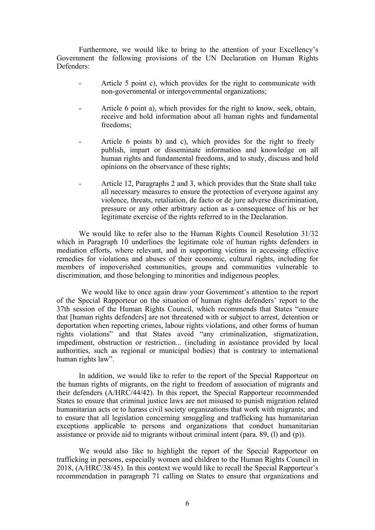Furthermore, we would like to bring to the attention of your Excellency'<sup>s</sup> Government the following provisions of the UN Declaration on Human Rights Defenders:

- - Article 5 point c), which provides for the right to communicate with non-governmental or intergovernmental organizations;
- Article 6 point a), which provides for the right to know, seek, obtain, receive and hold information about all human rights and fundamental freedoms;
- Article 6 points b) and c), which provides for the right to freely publish, impart or disseminate information and knowledge on all human rights and fundamental freedoms, and to study, discuss and hold opinions on the observance of these rights;
- - Article 12, Paragraphs 2 and 3, which provides that the State shall take all necessary measures to ensure the protection of everyone against any violence, threats, retaliation, de facto or de jure adverse discrimination, pressure or any other arbitrary action as <sup>a</sup> consequence of his or her legitimate exercise of the rights referred to in the Declaration.

We would like to refer also to the Human Rights Council Resolution 31/32 which in Paragraph 10 underlines the legitimate role of human rights defenders in mediation efforts, where relevant, and in supporting victims in accessing effective remedies for violations and abuses of their economic, cultural rights, including for members of impoverished communities, groups and communities vulnerable to discrimination, and those belonging to minorities and indigenous peoples.

We would like to once again draw your Government'<sup>s</sup> attention to the repor<sup>t</sup> of the Special Rapporteur on the situation of human rights defenders' repor<sup>t</sup> to the 37th session of the Human Rights Council, which recommends that States "ensure that [human rights defenders] are not threatened with or subject to arrest, detention or deportation when reporting crimes, labour rights violations, and other forms of human rights violations" and that States avoid "any criminalization, stigmatization, impediment, obstruction or restriction... (including in assistance provided by local authorities, such as regional or municipal bodies) that is contrary to international human rights law".

In addition, we would like to refer to the repor<sup>t</sup> of the Special Rapporteur on the human rights of migrants, on the right to freedom of association of migrants and their defenders (A/HRC/44/42). In this report, the Special Rapporteur recommended States to ensure that criminal justice laws are not misused to punish migration related humanitarian acts or to harass civil society organizations that work with migrants; and to ensure that all legislation concerning smuggling and trafficking has humanitarian exceptions applicable to persons and organizations that conduct humanitarian assistance or provide aid to migrants without criminal intent (para. 89, (l) and (p)).

We would also like to highlight the repor<sup>t</sup> of the Special Rapporteur on trafficking in persons, especially women and children to the Human Rights Council in 2018, (A/HRC/38/45). In this context we would like to recall the Special Rapporteur'<sup>s</sup> recommendation in paragraph 71 calling on States to ensure that organizations and